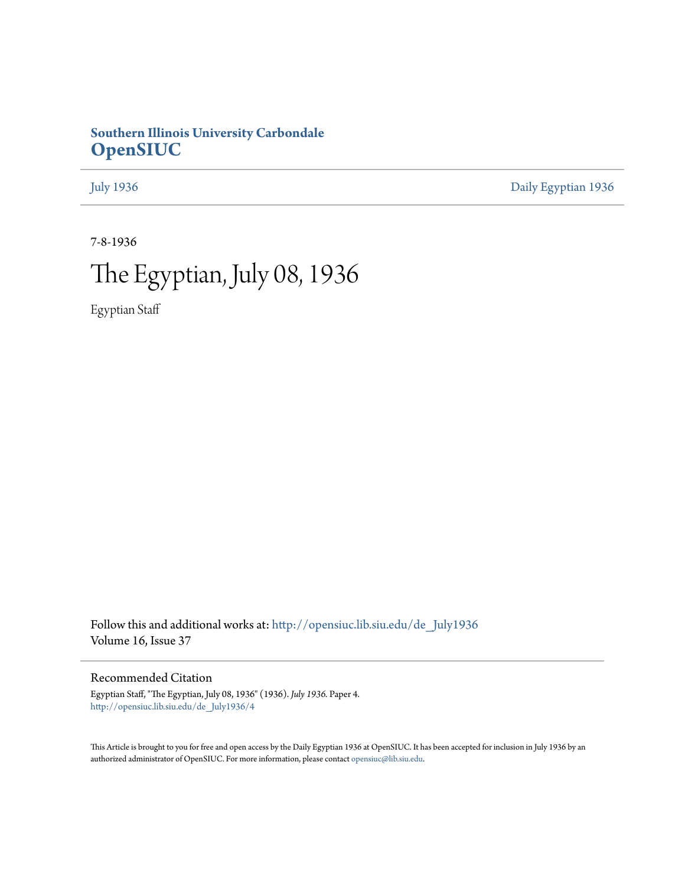# **Southern Illinois University Carbondale [OpenSIUC](http://opensiuc.lib.siu.edu?utm_source=opensiuc.lib.siu.edu%2Fde_July1936%2F4&utm_medium=PDF&utm_campaign=PDFCoverPages)**

[July 1936](http://opensiuc.lib.siu.edu/de_July1936?utm_source=opensiuc.lib.siu.edu%2Fde_July1936%2F4&utm_medium=PDF&utm_campaign=PDFCoverPages) [Daily Egyptian 1936](http://opensiuc.lib.siu.edu/de_1936?utm_source=opensiuc.lib.siu.edu%2Fde_July1936%2F4&utm_medium=PDF&utm_campaign=PDFCoverPages)

7-8-1936

# The Egyptian, July 08, 1936

Egyptian Staff

Follow this and additional works at: [http://opensiuc.lib.siu.edu/de\\_July1936](http://opensiuc.lib.siu.edu/de_July1936?utm_source=opensiuc.lib.siu.edu%2Fde_July1936%2F4&utm_medium=PDF&utm_campaign=PDFCoverPages) Volume 16, Issue 37

## Recommended Citation

Egyptian Staff, "The Egyptian, July 08, 1936" (1936). *July 1936.* Paper 4. [http://opensiuc.lib.siu.edu/de\\_July1936/4](http://opensiuc.lib.siu.edu/de_July1936/4?utm_source=opensiuc.lib.siu.edu%2Fde_July1936%2F4&utm_medium=PDF&utm_campaign=PDFCoverPages)

This Article is brought to you for free and open access by the Daily Egyptian 1936 at OpenSIUC. It has been accepted for inclusion in July 1936 by an authorized administrator of OpenSIUC. For more information, please contact [opensiuc@lib.siu.edu](mailto:opensiuc@lib.siu.edu).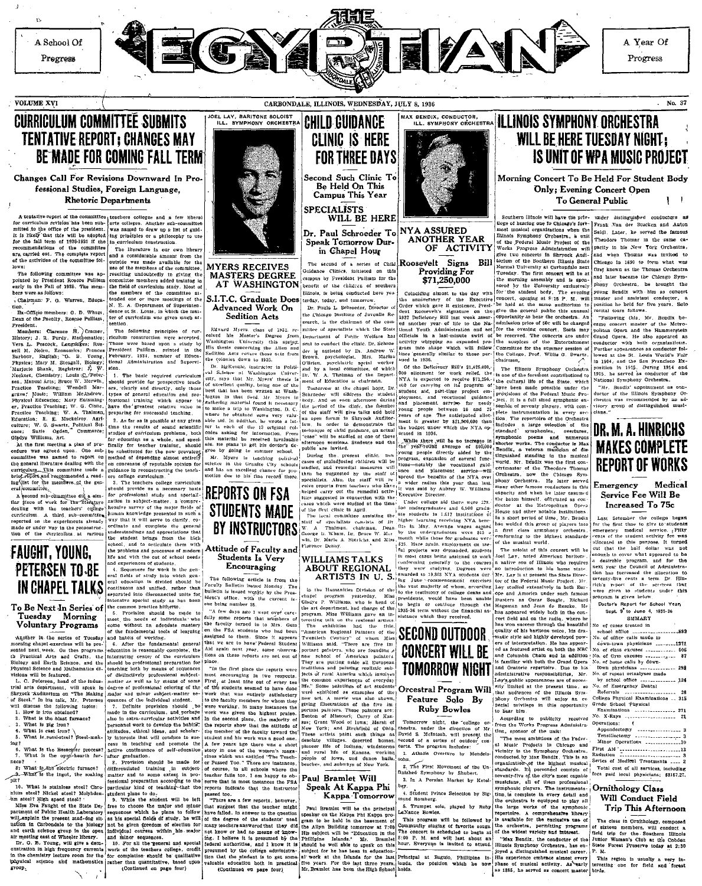

CARBONDALE, ILLINOIS, WEDNESDAY, JULY 8, 1936

**VOLUME XVI** 

# **CURRICULUM COMMITTEE SUBMITS TENTATIVE REPORT: CHANGES MAY BE MADE FOR COMING FALL TERM**

Changes Call For Revisions Downward In Professional Studies, Foreign Language, **Rhetoric Departments** 

eion.

.....<br>1. The basic required

A tentative-report of the committee for curviculum revision has been sub-<br>mitted to the office of the president.<br>it is likely that this will be adopted<br>for the fall term of 1938-1937 if the teachers colleges and a few ilberal arts colleges. Another sub-committee was named to draw up a list of guid-<br>has principle of draw up a list of guid-<br>has principles or a philosophy to use<br>in curriculum construction. recommendations of the committee<br>are carried out. The complete report The literature in our own library<br>and a considerable amount from the<br>outside was made available for the<br>use of the members of the committee, of the activities of the committee fol-

 $lows$ : The following committee was appointed by President Roscoe Pulliem<br>early in the Fall of 1935. The members were as follows:

Chairman: F. G. Warren, Educaton.<br>Bx-Officio members: G. D. Wham.

Dean of the Pacolity, Roscoe Pulliam, President . tention

Dean of the Prosity, Rosgoe Pullian,<br>
President.<br>
Yambers: Charmer, N.Corner, Theory, 1. R. Purdy, Machemattes;<br>
Yambers: L. Pearcock, Largediges: Rus-<br>
Vers L. Pearcock, Largediges: Rus-<br>
Party, R. Schon, Rosgonic Frances Physical Emergency, Mary Encaming<br>
Tr. Practice Teaching; W. G. Cisne,<br>
Fractice Teaching; W. A. Thalman,<br>
Education: R. E. Nuckelroy. Asrt-<br>
equitive; W. G. Swartz, Political Science;<br>
State Ogden, Commerce;<br>
Cladys Willi At the first meeting a plan of pro-

At the first mechanism point of Dro- treating for teacher training, should not be extended to responsible was a stread upon. One sub- just ultimate of the new prevalent conduction of the stread of the product of the prope

may<br>like tor us momentum of the same of the state of the state of the state<br>and special equal equal equal depends on the state of the state of the<br>state of the state of the state of the state of the state of the state<br>des

# **FAUGHT, YOUNG, PETERSEN TO BE IN CHAPEL TALKS**

### To Be Next In Series of the common practice hitherto. Morning Tuesday Voluntary Programs

Another in the series of Tuesday norning chapel exercises will be pre-<br>ented next week. Ou thes programs source using the state of the specifical and the state of the curriculum<br>Biology and Earth Science, and the should be professional preparation for<br>Biology and Earth Science, and the should be professional preparation for<br>P

registes science and Mathematics di-<br>visions will be featured.<br>L. C. Peterson, head of the indus-<br>trial arts department, will speak in<br>Shryock Nuditorium on "The Making<br>of Skeek." In his ratio 21. In his talk, Mr. Petersen will discuss the following topics:

- How is iron obtained?
- Note is the blast furnace?<br>What is the blast furnace?<br>What is cast fron?<br>What is sepal-steel? Steel-mak
- 

"s:<br>6. What is the Bessender process"<br>7. What is the oppi-hearth fur-

ace?<br>8: What is the electric furnace?<br>3. What is the ingot, the soaking

10. What is stainless steel? Chr.<br>mium steel? Nickel steel? Molybder<br>um steel? High speed steel?



**MYERS RECEIVES** resulting undoubtedly in giving the committee members added training in the field of curriculum study. Most of **MASTERS DEGREE** AT WASHINGTON the near of curriculum staty. Most of<br>the members of the committee at-<br>touded one or more meetings of the<br>N. E. A. Department of Superinten-<br>dence at St. Louis, in which the mat-<br>ter of curriculum was given much at-

S.I.T.C. Graduate Does Advanced Work On **Sedition Acts** 

The following principles of cur The following principles of cur-<br>riculum construction were accepted.<br>These were based upon a study by<br>President Puillam, minted in the<br>February, 1934, number of Educa-<br>tional Administration and Supervi-

I. The basic required curriculum<br>should provide for prospective teach-<br>ers, clearly and directly, only those<br>types of general education and professional training which appear to<br>have the greatest relative value in preparing for successful teaching

2. As far as is possible at any given time the results of sound scientific<br>studies of curriculum problems, both for education as a whole, and specifically for teacher training, should<br>be substituted for the now prevalent<br>method of depending almost entirely

school, and to britculate them with<br>the problems and processes of modern<br>hie and with the out of school needs<br>and experiences of students.

Students Is Very Encouraging

nd experiences of students.<br>4. Sequences for work in the gen-<br>rail fields of study into which gen-<br>rail fields of study into which gen-<br>rail education is durified, rather than<br>nontinuous and unified, rather than<br>eparated i The following article is from the For concerning article is from an excellent in Saved Monday. The build in Is issued weakly by the President's office. with the current is ntensive apecial study as has been sue being number 35

"A few days ago I went over care of the contains procedure of the match and the match of the container the container the result of the container the container that the container that the container of the container of the container of the family turned in The start profit that inferences of the start of the start of the start of the start of the start of the start of the start of the start of the start of the start of the start of the start of the start of the start of the and habits of working. [3181]<br>6. After the fundamental general that education is reasonably complete, the should be professional preparation for place

monto to processional preparation for<br>deaching both by means of sequences<br>of distinctively professional subject-<br>matter as well as by means of some<br>legree of professional coloring of the "In the first place the report most encouraging in two respects.<br>
First, at least nine out of every ten<br>
of the sudents seemed to have done<br>
of the students seemed to have done<br>
to the faculty members for whom they<br>
to the faculty members for whom they major and minor subject-matter sequences of the individual student.<br>7. Definite provision should be expectively and the provision should. The weakenst the many instances the function and the control of the control of the state of the state of the care and spectrum and the care also the state and should. The state and the ates in extra-current<br>and restriction wind in the second place, the majority of personnel work to develop the babilis. The reports show that the attitude of attitudes, sublead lease, and scholar- the member of the faculty the nember of the faculty toward the

active continuance of set is due to the verse in the set of the set and the state of the state of the state of the state of the state of the state of the state of the state of the state of the state of the state of the st passed too.<br>"There are a few reports, howeve:

student plans to do.<br>9. While the student will be left



.<br>Guidance Clinics, initiated on this ampus by President Pulliam for the benefit of the children of southern Illinois, is being conducted here yes

terday, today, and tomorrow. Dr. Poula L. Schroeder, Director the Chicago Institute of Juvenile Re

search is the chairman of the cars

Sedition Acts<br>
Factory 1982 respectively. In the chairman of the con-<br>
Packing Mars (1982 respectively. In the case from Demonstrate of specialists which the State (1982)<br>
Washington Universe Packing Demonstrate of Photo

WILLIAMS TALKS<br>ABOUT REGIONAL

**ARTISTS IN U.S.** Inwarded to 19,863 NYA star<br>
the Business of the library and the Plancardice Division of the library and the present<br>
the Business STAR Star in the contribution of the library of whom<br>
the library and the traditions and painting realistic sub-<br>jects of rural America which involves the common experiences of everyday<br>Iffe." Some paintings of art students<br>were exhibited as examples of the me. exhibited as examples of the<br>rt. A movie was also shown,<br>filostrations of the five inany filostrations of the fits she<br>intripulaters. These painters, it can of Missouri; Carry of Eister<br>Grant Wood of lows; Marsh Carry of Eister<br>Now, and Birchfield of O<br>was a artists, paint such things and the villages.<br> $A$ pieine These artists paint such things as<br>desolate villages. deserted homes,<br>ploneor life of Indiana, windstorms<br>and rural life of Kansaa, working

people of Iowa, and dance halls.<br>beaches, and subways of New York.

### Paul Bramlet Will Speak At Kappa Phi Kappa Tomorrow

Allies Para and the state in the state in the state of the state in the state in the state in the state in the state in the state in the state in the state in the state in the state in the state in the state in the state



The second of a series of Child Roosevelt Signs Bill<br>uidance Clinics, initiated on this Providing For \$71,250,000

Collection anisotration to the day with  $\frac{1}{2}$  for the diadent body. The eventopy of the collection and the expective content, operator and content and the expective property of the Excelusive content and content Recol lines generally similar to those pur-<br>sued in 1936. Swartz<br>chairman.

sued in 1836.<br>
other the main continuum.<br>
Of the Distribution Symphony Orchestra<br>
Of the Distribution of the fit of the fit interest contribution is<br>
NYA is expected to receive \$11,250.<br>
NVA is expected to receive \$11,250 years of age. The anticipated alloc- piece unarumentation in every ment is greater by \$21,500,000 than it includes a large selection of the budget under which the NYA op- includes a large selection of the budget under whi

cales using for intermediate the phase space of the state of the state of the pair in the state of the pair of the state of the state of the state of the state of the state of the state of the state of the state of the st secordin ne, would have been un<br>in or coutique through<br>term without the financial<br>which they received,



### Orcestral Program Will Feature Solo By **Ruby Bowles**

Tomorrow night, the "college or<br>chestra, under the direction of Mr.<br>David S. McBuch, will present the<br>second of a series of outdoor con-<br>certs. The program includes: 1. Athalia Overture by Mendel

ohn sonn.<br>2. The First Movement of the Un<br>finished Symphony by Shubert. 3. In A Persian Market by Ketel

egy.<br>- 4. Student Prince Selection by Sig-<br>mund Romberg.

# MAX BENDIX, CONDUCTOR, ILLINOIS SYMPHONY ORCHESTRA **WILL BE HERE TUESDAY NIGHT:** IS UNIT OF WPA MUSIC PROJECT

No. 37

Morning Concert To Be Held For Student Body Only; Evening Concert Open To General Public

Southern Illinois will have the priv- under distinguished conductors as<br>Eege of hearing one to Chicago's fore-<br>most mualcal organizations when the Seidl. Later, he served the famous Seidl. Later, he served the famous Blinois Symphony Orchestra, a unit Theodore Thomas in the same caof the Federal Music Project of the<br>Works Progress Administration will pacity in his New York Orchestra, Works Propress Administration will<br>great a Chrystein Administration will give two concerts in Chrystein Hinout State<br>between Times and David Propression and David Propriation Times are<br>propressed by the David Propriation and when Thomas was invited to Chicago in 1890 to form what was first known as the Thomas Orchestra and later became the Chicago Symphony Orchestra, he brought the young Bendix with him as concert master and assistant conductor, a position he hold for five years. Solo recital tours follows "Following this, Mr. came concert master of the Motropolitan Opera and the Hammerstein Grand Oners. He also soneared as Grand Opera. If a take appeared as<br>conductor with hoth organizations.<br>Further appearances as conductor followed at the St. Louis World's Fall-<br>in 1904, and the San Francisco Ex-<br>position in 1915. During 1914 and<br>1915. he

Concern symptomy Orchestra.<br>
"Mr. Beadix' appointment as completed in the fillinois Symptomy<br>
chestra was recommended by an visory group of distinguished mu DR. M. A. HINRICHS

ment is greater by \$21,500,000 then if includes a large soleodon of the Creative states of the bucket material of the contract of the detection of the contract of the creative of the contract of the contract of the contra Orchestra, now the Chicago Syn Orchestra, now the Chicago Sym-<br>phony Orchestra. He later terved<br>many other famous conductors in this<br>capacity and when be later tesumed<br>the batto thirself. officiated as con-<br>dictor at the Metropolitan Opera<br>Haust and oth

In a short period of time, Mr. Bendix<br>has welded this group of players into a first class symphony orchestra.

The soloist of this concert will be Joel Lay, noted American baritone Figure 1.49, noted American particular<br>
no introduction to high hame state.<br>
Nr. Lay is at present the State Direc-<br>
Nr. Lay is at present the State Direc-Mr. Lay is at present the State Director of the Federal Music Project. Mr.<br>Lay studied extensively in hoth Europe and America under such famous masters as Oscar Seagle, Richard<br>Hageman and Jean de Reszke. He has appeared widely both in the concert field and on the radio, where he<br>has won success through the beautiful uality of his haritons voice, his dro.

quality of his antione voice, his ara-<br>matic style and highly developed pow-<br>ers of interpretation. He has appear-<br>ed as featured artist on both the NBC ad as featured artist on open the contracts of the second columbia Chain and in addition No. of Gym excuses contractions and the Grand Opera No. of bonne calls by down-<br>is familiar with both the Grand Opera No. of bonne ca and Oratorio repertoire. Due to his and Oratoric repertivire. Due to his and calculated and admitistrative responsibilities. Mr. 1.2479.300bile appearances are of necessibilities in the present time. So, the place of the filluois Symmetric will enjoy a respe

According to publicity received<br>from the Works Progress Administration, sponsor of the unit: "The most ambitious of the Feder The most ambitious of the Poler-<br>and Music Projects in Chicago and Nusic Projects in Chicago and conducted by Nax Bendix, This is an organization of the highest musical standards. It is exactly the highest musical statemen

symponic piers. The instrumentation of the arguments of the larger works of the arguments of the arguments represented to the arguments represented to a comprehensive blue in a symponion of the solution of the wideling pro

It we wreat verifiely and interest. Including the content of the same of the property of the state of the state of the state of the conductor of the conduction of the conduction of the conduction of the conduction of the

our that the bail<sup>7</sup> dollar was not<br>enough to cover what appeared to base a desirable program. and for the<br>next year the Council of Admitstration has farcessed the allocation to<br>next year the Council of Admitstration<br>sever Doctor's Report for School Year Sept. 9 to June 4, 1935-36 **SMMARY** 

**MAKES COMPLETE** 

**REPORT OF WORKS** 

Service Fee Will Be Increased To 75c Last Setember the college began

Last setember on control to the first control enterprise of the first control of the students<br>emergency modical service. (Fifty<br>cents of the student activity fee was<br>allocated to this purpose. It turned

Medical

dollar was not

Emergency

cut that the half

No. of class excuses ............ College Physical Examinations Grade School Physical Examination Operations:

Appendectomy .............<br>Tonsiliectomy .............. Tonsillectomy<br>Minor Operations ............... Total cost of all services, including<br>focs paid local physicians: \$3157.27

### Ornithology Class Will Conduct Field **Trip This Afternoon**

The class in Ornithology, composed of sixteen members, will conduct a<br>deld trip for the Southern Illinois<br>Junior Woman's Club at the Cobden<br>State Forest Preserve today at 2:30<br>B M

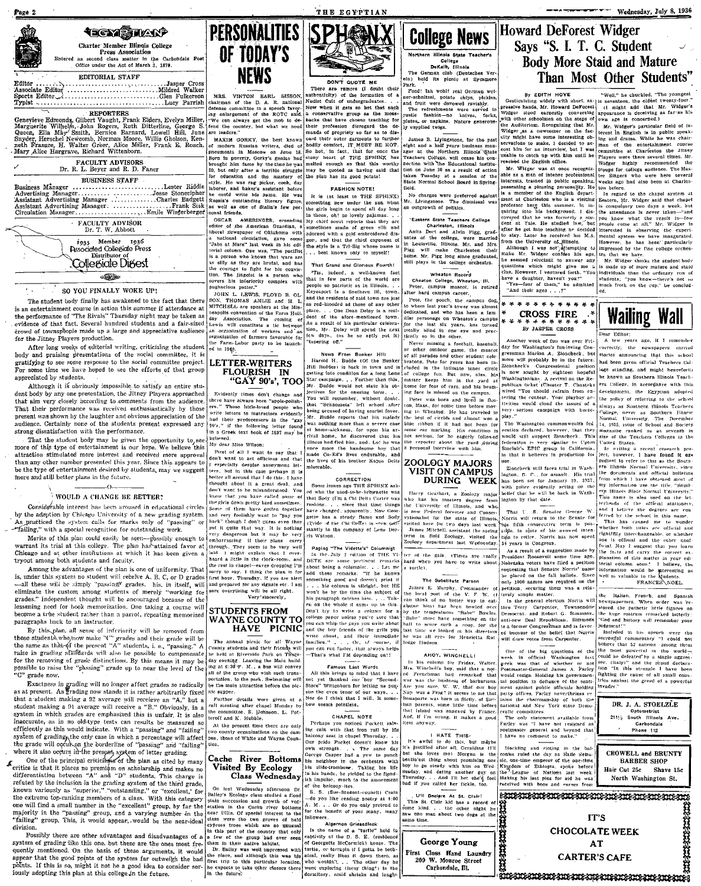# *<u>IECY@RAN</u>*

Charter Member Illinois College<br>Press Association<br>as second class matter in the Carl<br>Office under the Act of March 3, 1879. Carbondale Post

### EDITORIAL STAFF

Editor Associate Editor<br>Sports Editor Typist .........Lucy Parrish . . . . . . . . . . . .

**REPORTERS** Genevieve Edmonds, Gibert Vaught, Frank Elders, Evelyn Miller, Marguerite Wilhelm, John Rogers, Ruth Ditterline, George S. August, Queen, Ella May Smith, Bernice Earnard, Lowell Hill, June Queen, Ella May Smith, Bernice Ea

# FACULTY ADVISORS<br>Dr. R. L. Beyer and R. D. Faner

**BUSINESS STAFF** Business Manager<br>
Advertising Manager<br>
Advertising Manager<br>
Assistant Advertising Manager<br>
Circulation Manager<br>
Circulation Manager<br>
Circulation Manager<br>

Assistant Advertising Manager<br>

Circulation Manager<br> Lester Riddl ...........Jesse Stonecipher ...........Charles Badgett<br>................Frank Sisk ......Emile Winterberge

### FACULTY ADVISOR<br>Dr. T. W. Abbott igas Member 1936<br>Associated Collegiate Press Distributor **Collegiale Digest** ه همه

### SO YOU FINALLY WOKE UP!

The student body finally has awakened to the fact that there is an entertainment course in action this summer if attendance at the performance of "The Rivals" Thursday night may be taken as evidence of that fact. Several hundred students and a fair-sized crowd of townspeople made up a large and appreciative audience for the Jitney Players production.

After long weeks of editorial writing, criticizing the student body and praising presentations of the social committee, it is gratifying to see some response to the social committee project.<br>For some time we have hoped to see the efforts of that group appreciated by students.

Although it is obviously impossible to satisfy an entire student body by any one presentation, the Jitney Players approached that aim very closely according to comments from the audience. That their performance was received enthusiastically by those present was shown by the laughter and obvious appreciation of the audience. Certainly none of the students present expressed any strong dissatisfaction with the performance.

That the student body may be given the opportunity to see more of this type of entertainment is our hope. We believe this attraction stimulated more interest and received more approval than any other number presented this year. Since this appears to be the type of entertainment desired by students, may we suggest more and still better plans in the future.

### $\Omega$ WOULD A CHANGE BE BETTER?

Considerable interest has been aroused in educational circles by the adeption by Chicago University of a new grading system. As practiced the system calls for marks only of "passing" of "failing," with a special recognition for outstanding work.

As graditical the system calls for marks only of "passing" or part to<br>not a special recognition for outstanding vork. The last value that way. It is nothing<br>Merits of this plan could easily be seen—possibly enough to  $\frac{$ 

Among the advantages of the plan is one of uniformity. That<br>is, under this system no student will receive A, B, C, or D grades<br>--all these will be simply "passing" grades. his, in itself, will eliminate the custom among students of merely "working for grades." Independent thought will be ancouraged because of the lessening need for book memorization. One taking a course will become a true student rather than a parrot, repeating memorized paragraphs back to an instructor.

By this plan, all sense of inferiority will be removed from<br>those students, who how make "(" grades and their grade will be<br>the same as the hypow make "(" grades and their grade will be<br>raise in grading  $\kappa$  detective ra for the removing of grade distinctions. By this means it may be possible to raise the "passing" grade up to near the level of the "C" grade now.

**Exactness in grading will no longer affect grades so radically** as at present. As grading now stands it is rather arbitrarily fixed that a student making a 92 average will receive an "A," but a student making a 91 averag system in which grades are emphasized this is unfair. It is also inaccurate, as in no old-type tests can results be measured so officiently as this would indicate. With a "passing" and "failing" erigientally as this would intuitable. With a percentage will affect any experim of grading the only case in which a percentage will affect the grade will open the borderline of "passing" and "failing" where it also occurs

One of the principal criticisms of the pion as stress by many<br>critics is that it places no premium on scholarship and makes no<br>differentiation between "A" and "D" students. This charge is<br> $\frac{100}{2}$  students. This charge artentiation in the grading system of the higher state of the higher related by the inclusion in the grading system of the higher known variously as "superior," "outstanding," or "excellent," for the extreme top-ranking me one will find a small number in the "excellent" group, by far the majority in the "passing" group, and a varying number in the "failing" group. This, it would appear, would be the near-ideal division.

Possibly there are other advantages and disadvantages of a system of grading like this one, but these are the ones most frequently mentioned. On the basis of these arguments, it would appear that the good points of the system far outweigh the bad points. If this is so, might it not be a good idea to consider seriously adopting this plan at this college in the future.



illeral inferior profitablem a via the state of the state of the state of the "Jabia at Mara" last week in his off-<br>"Jabia at Mara" last week in his off-<br>"Jabia at Mara" last week in his off-<br>is a person who knows that wa

JOHN L. LEWIS, FLOYD B. OI. JOHN L. LEWINS, PLOYD B. OL.<br>SON, THOMAS ANLIE and H. I.<br>MITCHELL are speakers at the Min-<br>neapole contention of the Para Holin-<br>neapole contention of the Para Holin<br>Levin's will consisting an organization of workers and

# **LETTER-WRITERS** FLOURISH IN<br>"GAY 90's', TOO

Evidently times don't chance and Extractive many times continue and<br>there have always been "apple-polishers." Those little-loved people who<br>res." Those little-loved people who<br>had their predecessors in the "gas"<br>had their predecessors in the "gas"<br> $99's$ ," believed.

My dear Niss Wilson: First of all I want to say that I<br>lon't want to act officious and that especially despise anonymous letters, but in this case perhaps it is iers, out in tus case perhaps it is<br>better all around that I do this. I have<br>the<br>uptil about it a great deal, and<br>don't want to be misunderstood. You<br>know that you have called some of<br>the girls down pretty hard sometimes. Same of them have gotten together<br>and very foolishly want to "pay you<br>back" though I don't guess even they

the rest in chapel—eaves dropping Pm sorry to say. I think the plan is fo sorry to say. I time the plan is rot<br>first hour. Thursday. If you are aler<br>and prepared for any signals etc. I an<br>sure overything will be all right.<br>Very'slacerely,

### **STUDENTS FROM** WAYNE COUNTY TO HAVE PICNIC

### The annual picnic for all Wayne e held at Riverside Park on Thurs

are near at Eurerante Party on The<br>search of the Main build<br>ing at 6:30  $\mathcal{P}$ . M., a bus will convey<br>all of the grapp who wish such trans-<br>portation, to the park, Swimming will<br>be the main attraction before the pictic supper.

Further details were given at a<br>rall meeting after chapel Monday by<br>he committee, S. [Johnson, L. Pot-<br>eroff and K. Hubble, At the present time there are only

# Cache River Bottoms<br>Visited By Ecology<br>Class Wednesday

last Wednesday afternoon Dr alley's Ecology class studied a flood<br>Isin succession and growth of vegtation in the Cache river bottom<br>ear Illin, Of special interest to the class were the two groves of bald<br>cypress trees which are so minimal



THE EGYPTIAN

# Free are values in the dubt that<br>authenticity) of the formation of international control of<br>Nudist Cult of undergraduates.<br>Now when it gets so hot that and

gon, and that the chief exponent of<br>the style is a Tri-Sig whose name is .. best known only to myself!

That Grand and Giorious Fourth! 'Tis, indeed, a well-known fact<br>that in few parts of the world are

that in few parts of the world are<br>people so particle as in Hilmois...<br>Keyesport is a Southern III, town,<br>and the residents of staid town are just<br>as red-independent of state as a red-independent of the<br>second of the afor tion, Mr. Delay will spend the next  $f(w)$   $\rightarrow$   $wy$  will spend the next<br>few days, (as he so aptly put it)<br>"tapering off."

News From Bunker Hill<br>Harold H. Budde (Of the Bunker<br>Hill Buddes) is back in town and is<br>getting into condition for a long Lone Star campaign. . . Further than this,<br>Mr. Budde would not state his ob-

Arr. Budde would not state has ob-<br>jectives for the ensuing term.<br>You will remember, without doubt,<br>that "Sennozzota" left encori - after<br>being scensed of having scarlel fever.<br>Mr. Budde reports that liis malady was nothing more than a severe case of home-sickness, for upon his arrival home. he discovered that lusillness had fled bim, and. Lo! he was the ban

once more the handsome hoy that<br>made Co-Ed's lives endurable, and<br>the lives of his brother Kappa Delts<br>miserable.

### CORRECTION

Some issues ago THE SPHINX ask-<br>vd who the used-to-he-hrownette was that Sony (I'm a Chi Dell) Carter was that Sony (The Childell Carter was<br>rushing. . . . since that time dinnes<br>have changed, apparently. Now Georgette has a steady flame and Soly<br>gette has a steady flame and Soly<br>(Pride of the Chi Pells) is seen contri-<br>stantl ris Watson.

Paging "The Vidette's" Columnist raging "The vietness" Countings<br>The Ref. 2019 2 edition of THE VI-<br>DETE are some perificant remarks<br>about being a columnist, . . . Let me<br>add these remarks: "If be knows<br>something good and doesn't print it

his column is alleight, but HE wou't be by the time the subject of

won't be by the time the subject of<br>his paragraph catches him. . . . Trak-<br>en od the whole it sums up to this.<br>Don't try to write a column for a<br>college paper unders you're ure that<br>and the boy friends of the gifts you<br>and

rrite about, and their immediate<br>amilies." . . . Or, of course, il families.". on ean run faster, that always help That's what I'M depending on!

Famous List Words<br>
All this brings to mind that I have<br>
not yet thanked our boy "Second<br>
Store" Wittenborn for letting us pur-<br>
sue the even tenor of our ways. Nor do I think that I will. It some how seems pointless.

CHAPEL NOTE

Chapel Monte (1971)<br>
The calm with that the animal by his pair and the base of the base of the<br>
balcony seat in chapel Thursday ...<br>
Our pride Phursday ...<br>
Our pride Phursday ...<br>  $\alpha$  The same day<br>  $\alpha$  our pursday ...<br>

-do you like reading poetry at 4:00 A. M. . . Or do you only pretend to<br>for the benefit of your many, many ra.<br>followers

oliowers.<br>
Algernon Griesedleck<br>
Is the name of a "turtle" held to<br>
aptivity at the D. S. E. (residence corrects trees which are on momental and the name of a "turtle" held to the particle and over seen candidity at the D. S. E. (residence of a "turtle" held to the group had ever seen captivity at the D. S. E. (residence th



Food! Iah wohl! real German wel-<br>ar-schnitzs!, potato chips, pickles,<br>and fruit were devowed ravially.<br>The refreshments were served in<br>yratic fashion-no knives, forks,<br>picture, pickles, or napkins. Nature generous-<br>by supp

James B. Livingstone, for the past<br>eight and a half years business manager at the Northern Illinois State reachers College, will cease his con<br>tection with the Educational institu tion on June 30 as a result of action<br>taken Tuesday at a session of the

State Normal School Board in Spring tield. No charges were preferred against<br>Mr. Livingstone. The dismissal was<br>an outgrowth of politics.

### 'Eastern State Teachers College

'Easter Eiter and Alvin Pigg, grad.<br>
Anita Dort and Alvin Pigg, grad.<br>
Anita Dort and Alvin Pigg, grad.<br>
unter of the college, were married<br>
in Louisville, Illinois. Mr. and Mrs.<br>
Pigg will make Charleston their<br>
home. Mr.

Wheaton Record<br>Cheaton College, Wheaton, Ill.<br>Peter, campus maseot, is retired<br>fter hard campus career,

ater nare campus career,<br>
Pete, the pooch. the campus dog,<br>
to whom last year's tower was almost<br>
dedicated, and who has been a farm<br>
illiar personage on Wheaterly campus<br>
for the last six years, has turned<br>
totally so in

or other outdoor game, the mascot<br>of all parades and other student cele-

of all parados and other student cole<br>between the basis of the student cole of college fun. But more created<br>of college fun. But move, also, his<br>function for college fun. But move, also, his<br>basis reseps him in the yard a

blue ribbon if it had not been for some ear marking. His condition is<br>not serious, for he eagerly followed<br>the reporter about the yard daring<br>a personal interview with him.

## ZOOLOGY MAJORS<br>VISIT ON CAMPUS DURING WEEK

Harry Gearhart, a Zonlegy major Harry Gearlint, a Zoology major<br>who has have a from the Chiversity of Himois, and who<br>is now Pederal forester and Conservationalist for the state of Himois,<br>validation of the state of Himois,<br>validation is self-<br>and the st term in field Zoology, visited the

ter of the gais. (Times are really hard when you have to write about<br>a turtle),

### The Substitute Parson

re business E. Murphy, Commander of<br>the local post of the V. F. W. (1)<br>can think of to better way to cat-<br>alpgue him) has been howeld over<br>by the tempositions "Babe" Bowlos. Babe" must have something on the<br>all to score such a coup, for the and to severe such a coup, for the jast former Deal Republican. Similar half to severe such a coup, for the jast former Congressman and is last time we looked m his direction and in the vas all reves from the let was all r

ledge Thus....<br>
In column for Priday, Walter, week in our....<br>
In column for Priday, Walter, goek was that of whether we<br>
Man, Winchel's soy said that a not Postmarcor-General James A. State-<br>
Man, Winchel's soys said tha

Heckling and rioting in the bal chessings and roturs in the but<br>contes ruled the day as Halte Selats-<br>sice, one-time emperor of the one-time<br>Kingdom of Euloipta, apoke before<br>the '-League of Nations isst week.<br>Maxing his isst plea for aid he was<br>reached Thursday. . . And I'll het she'd feel<br>bad if you called her fickle, too.

U'il Declare At St. Clair! This St. Clair kid has a record of the St.<br>
some kind... the other night he seemed the state of the state of the seemed and the seemed and the seemed of the state of the seemed in the seemed of the seemed in the seemed in

George Young

First Class Hand Laundry<br>209 W. Monroe Street

Carbondale, Ill.

8

Than Most Other Students" By EDITH HOYE<br>Gestiuslang welchy with about, expressive bands, Mr. Howard DeForesti<br>pressive bands, Mr. Howard DeForesti<br>with other achoolmen on the ateps of<br>the Auditorium. Recognizing that Mr.<br>Widger as a newcomer on the "Well," he chuckled, "The youngest<br>is seventeen, the oldest twenty-four."<br>if might add that Mr. Widger's<br>appearance is deceiving as far-as his<br>own age is concerned.) own age is concerned.)<br>
Mr. Widger's perticular field of la-<br>
Mr. Widger's perticular field of la-<br>
ligne and detail. Where he was chair-<br>
Iman of the other thankent convertible at Charleston the litter<br>
Committee at Charl servations to make, I decided to at cost him for an interview, but I was

Says "S. I. T. C. Student

**Body More Staid and Mature** 

Wednesday, July 8, 1936

weeks ago had also been at Charles

on secure.<br>In regard to the chapel system at

**Wailing Wall** 

judgment!"<br>
Included in line speech were the<br>
sorrowful commentary "I could not<br>
believe that 52 nations - among them<br>
the most powerful in the world—<br>
could be defeated by a single aggress-

sor. (Italy)" and the proud declara-

DR 1 A STOELZLE

Optometrist<br>  $211\frac{1}{2}$  South Illinois Ave.<br>
Carbondale<br>
Phone 112

CROWELL and BRUNTY

**BARBER SHOP** 

North Washington St.

Shove 15c

Hair Cut 25c

**EXIPTERITE THE BIR BIR DIE DIE DIE DIE DIE DIE** 

IT'S

**CHOCOLATE WEEK** 

AT

**CARTER'S CAFE** 

Martarentena da eta eta eta eta eta eta eta ez

fighting the cause of all small comtries against the greed of a powerful

ton before

eached the English office. Mr. Widger was at once recognizable as a man of intense protessional<br>interests, trained in public speaking, possessing a pleasing personality. He<br>is a member of the English department at Charleston who is a visiting Eastern, Mr. Widger said that chapel professor here this summer. In in-<br>quiring into his background, I dis-<br>the attendance is never taken-"and quiring into his background. I dis-<br>
we convert the attendance is never taken—"and covered that he was formerly a state is never taken—"and dent at Yale Fig. For solar order and dent at Yale standled introduced interested

\* \* \* \* \* \* \* \* \* \* \* \* Ą. CROSS FIRE  $\boldsymbol{\ast}$   $\boldsymbol{\ast}$   $\boldsymbol{\ast}$  $2.48888$ By JASPER CROSS

Dear Editor: Another week of fun was over Fri A tew years ago, if I remembe day for Washington's fun-loving Con orrectly, the newspapers carried gressman Marion A. Zioncheck, bu tories announcing that this school gressman Marion A. Zioncheck, but<br>more will probably be in the future.<br>Zioncheck's Congressional position<br>is now sought by eighteen hopeful<br>washingtonians. A revival on the Re-<br>publican teket (Chester T. Chastek)<br>wire the had been ziven official Teachers Collage standing, and might henceforth be known as Southern Hlinois Teachers College, in accordance with this development, the Egyptian adopted tering the contest. Your playboy activities would cloud the issues of The policy of referring to the scheme of the policy of referring to the scheme of Captain Contents. Never a Southern Dimerred Scheme and the policy and scheme of the policy scheme of the policy of the policy of the policy the policy of referring to the school very serious campaign with horse<br>play."

. . .<br>The Washington commonwealth fed eration declared, however, that the eation decaded. nowever, that they would still support Zioncheck. This<br>federation is very similar to Upion<br>Sinclair's EPIC group in California,<br>in that it believes in production for

Zioncheck still faces trial in Wash ington, D. C., for assault. His trial<br>has been set for January 19, 1937. ington, p. C., for assauch. His tria<br>has been set for January 19, 1937,<br>with police evidently acting on the<br>belief that he will be back in Wash-<br>ington by that date.

That U. S. Senator George Norris will return to the Senate for Not is the consecutive term is pos-<br>sight. in spite of his avowed intention to redire. Norris has now spent<br>34 years in Congress.

and 1 believe the dense<br>s are contributed in the second particle relationships that the state<br>of the state of the state of the state of the state of the state<br>of the state of the state of the state of the state of<br>the sta As a result of a suggestion made by<br>President Roosevelt some time ago Nahraska voters have filed a petition Neoraska voters have med a petition<br>requesting that Senator Norris' name<br>be placed on the fall ballots. Since<br>only 1000 names are required on the<br>petition, securing them was a relathe Italian, French, and Spanish<br>atewspapermen, When order was re-<br>stored, the pathetic hitle figures on<br>the huge rostrum remarked bitterly:<br>"God and history will remember your<br>judgment!" trvely simple matter

In the general election Norris will The general energies (Townser of the general energy Carpenter, Townser<br>Democrat. and Robert G. Simmons,<br>anti-new Deal Republican. Simmons<br>is a former Congressman and is favor-

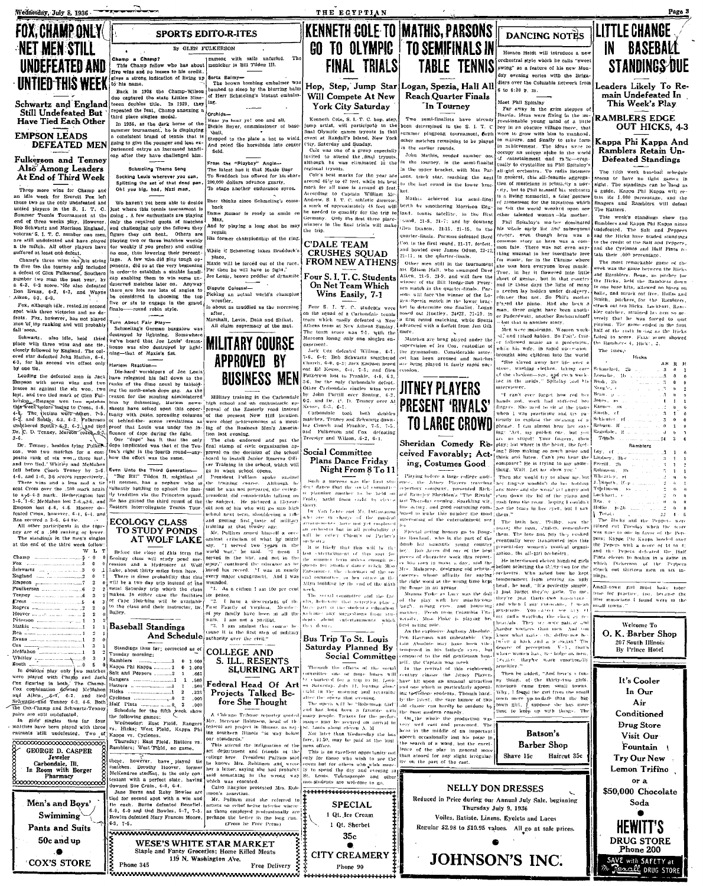# FOX, CHAMP ONLY || NET MEN STILL UNDEFEATED AND UNTIED THIS WEEK

Schwartz and England<br>Still Undefeated But **Have Tied Each Other** 

### **EMPSON LEADS DEFEATED MEN**

### Fulkerson and Tenney Also<sup>5</sup> Among Leaders At End of Third Week

Three more wins for Champ and<br>an idle week for Everett Fox left<br>these two as the only undefeated and untied players in the S. I. T. C.<br>Summer Tennis Tournament at the Summer Tennis Tournment at the<br>erds play. However,<br>Rob Schwartz and Morrison England,<br>veterar S. I. T. C. number one men,<br>are still undetested and have phayed at<br>a to match. All other players have<br>suffered at least one def

Champ's three wins ran his string<br>to five for the tourney and included<br>a defeat of Glen Fulkerson, Southern a deteat of Gien Fulkerson, Southern<br>number two man the past year, by<br>a 6-3, 6-3 score. He also defeated<br>Don Evans, 6-2, 6-3, and Wayne<br>Aiken, 6-3, 6-3,

Fox, although idle, rested in second with three victories and no de feats. Fox, however, has not played men of top ranking and will probably fall soon.

Schwartz, also idle, held third Nowware, also then the place with three wine place with the col-<br>closely followed by England. The col-<br>ored star defeated John Mathis, 6-4,<br>6-3, for his second win offset only by one tie.

Leading the defeated men is Jack Empson with seven wins and two<br>Iosses as against the six won, two 1934, and two tied mark of Glen Ful-<br>
kerken, Empagn won two tied mark of Glen<br>
The Schermond two series with the series of the series of<br>  $+4$ , The tietins were series and soluly, 6.2, 6.2, Pulkers<br>
and Soluly, 6.2, 6.2, lost, and two tied mark of Gien Ful-

Dr. Tenney, hesides tying Fulker-EF. Temps, hosides tying Fulker-<br>son, won two matches for a com-<br>posite rank of six won, three lost,<br>and two tied. Whitley and MeMahon<br>fell before Coach Tenney by 3-6.

fell before Concin Tenney by 3-6.<br>4-6 and 1-6, 36 accers respectively.<br>There wins and a loss and a liet<br>send Cross over the 5.50 mark. acain<br>scale can be send the send of  $3\pi^2$  +3 mark. Helberington lost<br>1-6, 1-6; Mecka

at the end of the third week follow

|                                            | w | т.                      | т                       |
|--------------------------------------------|---|-------------------------|-------------------------|
|                                            |   | Λ                       | n                       |
| Fox                                        |   | ō                       | ٨                       |
| Schwartz     3                             |   | ō                       | 1                       |
| England  3                                 |   | Λ                       | ۴                       |
| Empson $\ldots$                            |   | 2                       | 0                       |
|                                            |   | 2                       | 2                       |
|                                            |   | я                       | ğ                       |
|                                            |   | 4                       | $\overline{\mathbf{a}}$ |
|                                            |   | $\overline{2}$          | ٥                       |
|                                            |   | $\overline{\mathbf{z}}$ | Ù                       |
|                                            |   | 1                       | Ŷ,                      |
|                                            |   | 1                       | ٦                       |
| Rea <i>manufacture communication</i> 1     |   | ă                       | ī                       |
|                                            |   | $\overline{2}$          | ò                       |
| $\cos$ $\frac{1}{2}$                       |   | 2                       | ٦                       |
|                                            |   | 3                       | 2                       |
|                                            |   | 2                       | t                       |
|                                            |   | 5                       | n                       |
| designation where and a form more property |   |                         |                         |

were played with Chapp and Jack were played with Chappy and Jack-<br>Cox combination downed McMahon<br>Cox combination downed McMahon<br>and Aiken,  $\mathcal{L} = \mathcal{L}$ , and tied<br>Schwartz-Tid Tennoy 6-3, 4-6. Both<br>The Cox-Champ and Schwartz-Tennoy Hatters ............ .<br>Hicks .......<br>Cyclone main and all undefeated.<br>
In girls' singles thus far four<br>
In girls' singles thus far four<br>
inatclies have been played with three<br>
entrants still undefeated. Two of

GEORGE D. CASPER<br>Jeweler<br>Carbondale, Ill.<br>In Room with Borger<br>Pharmacy



This Champ fellow who has about<br>five wins and no losses to his credit. gives a strong indication of living up to his name. Borta Balmy-Sorts beam, bombing embalmer was<br>bombed to sleep by the blurring balm<br>of Herr Schmeling's blatant embalm-Back in 1928 the Champ-Wilson uo captured the state Littlee Ninedue captured the state Littlee Nine-<br>teeen doubles title. In 1929, they ing.<br>repeated the feat, Champ namexing a character of third place singles modal. Hear ye hear ye! one and all,<br>Dickle Beyer, commissioner of bas In 1936, as the dark horse of the<br>summer tournament, he is displaying **Shall**,

Champ a Champ?

**SPORTS EDITO-R-ITES** 

By GLEN FULKERSON

**Inament** with sails unfurled.<br>| monicker is Bill Tilden III.

To stage another endurance sprea

placo,<br>Maxie will be forced out of the race

maxis will be forced ont of the race<br>For then he will have to fight,'<br>Joe Louis, brown peddler of dynamite

Picking an actual world's champion

APPROVED BY

cer Training in the school, which will

President Pulliam spoke analme

go in when school opens.

Dispute Colossa

wrestier

a consistent brand of tennis that is<br>a consistent brand of tennis that is<br>going to give the younger and less ex-<br>perienced entrys an increased handi-<br>cap after they have challenged him. Stepped to the plate a bat to wield. And poled the horschide into center field. From the "Playboy" Angle-<br>The latest has it that Maxie Baer<br>To Braddock has offered for his sh<br>200,000 dollars advance guarty,

Schmeling Theme Song Socking Louis wherever you can,<br>Splitting the set of that dead pan<br>Ohl you big, bad, Nazi man,

Baer thinks since Schmeling's content We haven't yet been able to decide just where this tennis tournament is just where this tennis turnament is<br>going . A few enthusiasts are playing<br>only the required quota of matches<br>and challenging only the fellows they have<br>figure they can heat. Others are<br>figure two or three matches<br>weekly if And by playing a long shot he may<br>And by playing a long shot he may regain<br>His former championship of the ring While if Schmeling takes Braddock'

tage. A faw who did play tough opponents, did so at the very beginning<br>in order-to establish a sizable handi-In order-to establish a sizzabe handi-<br>cap enabling them to win some un-<br>deserved matches later on. Anyway<br>there are lots are lots of angles to<br>be considered in choosing the top<br>five or six to engage in the grand inale-round robin style.

arter,<br>Marshall, Levin, Dean and Shikat,<br>All claim supremacy of the mat. Turn About Fair Play—<br>Schmeilng's German bungalow was<br>destroyed by lightning. Somewhere<br>we've heard that Joe Louis' dream-WILLTARY COURSE the contract that the line of MILLTARY COURSE

### Hariem Reaction-

Fraction teachers and the Louis and the state of the carbon of the state of the state and the carbon of the main of the main of the main of the main of the main of the main of the main of the main of the main of the main Die-hard worshipers of Joe Louis

Unto the Third Generation-

"Big Bill" Tilden II, mightlest of President Pulliam valiantly battling to uphold the far sussainty seconds the Princeton squad.<br>It tradition via the Princeton squad.<br>He has gained the third round of the<br>Eastern Intercollegiate Tennis Tour-

ession?

..<br>Bailey

**Baseball Standings** 

Tuesday morning:<br>Rambiers<br>Kanno Pt. ...

Phone 345

# President Pullian space maintains the control of the training course. Although he will be exampled to the properties of the space of the space of the space of the space of the space of the space of the space of the space **ECOLOGY CLASS<br>TO STUDY PONDS** AT WOLF LAKE Before the close of this term the

cology class will study pond sur-<br>ssion and a Hydrosere at Wolf<br>ake, about thirty miles from here. There is some probability that this Figure is some proposition in this case.<br>The a two day trip instead of the stand Saturday trip which the class<br>makes. In either case the fractitures<br>of Cape Hitchins will be available to<br>the class and their instructor, Dr. wounded,<br>
"1. As a cittzen I am 100 per cent

<sup>21</sup>. As a citizen 1 am 100 per cent.<br>
107 peace.<br>  $x^2$ . I have a tiescendant of the Fast Family of Virgina. Member-<br>
of phy family have been in all the<br>  $\frac{3\pi}{2}$ . I am ortation to perflict.<br>  $\frac{3\pi}{2}$ . I am ortatio

And Schedule authority over the civil."



**Bowles defeated Mary Frances Moore,** ES, 7-5.<br>
WESE'S WHITE STAR MARKET<br>
WESE'S WHITE STAR MARKET Staple and Fancy Groceries; Home Killed Meats<br>119 N. Washington Ave.

Free Delivery

**LITTLE CHANGE KENNETH COLE TO MATHIS, PARSONS DANCING NOTES GO TO OLYMPIC TO SEMIFINALS IN** IN BASEBALL Horace Heidt will introduce a ne **FINAL TRIALS TABLE TENNIS** rchestral style which he calls "swee **STANDINGS-DUE** swing" as a feature of his new Mon day evening series with the Briga diers over the Columbia network from Leaders Likely To Re-Hop, Step, Jump Star Logan, Spezia, Hall All  $6$  to  $6:30$  p. m. Will Compete At New Reach Quarter Finals main Undefeated In Meet Phil Spitalny This Week's Play In Tourney York City Saturday Far away in the grim steppes of **RAMBLERS EDGE** 

Kenneth Cole, S. I. T. C. hop, step,<br>jump artist, will participate in the<br>final Olympic games tryouts in that<br>event at Randali's Island, New York Two semi-finalists have alread been determined to the S. I. T. C. summer pingpong tournament, (with

City, Saturday and Sunday.<br>Cole was one of a group especially in the earlier rounds,<br>invited to attend the final tryouts. John Mathis, seeded number one<br>although he was eliminated in the  $\ln$  the tourney, is the semi-fina egional tryouts.<br>Cole's best marks for the year are in the upper bracket, with Max Par uons, track star, reaching the next to the last round in the lower brac ket.

course necess for the year are<br>around 46% to 47 feet, while his less<br>mark for all time is around 49 feet.<br>According to Captain William Mc-<br>Andrew, S. I. T. C. athletic director, Mathis achieved his semi-fing of approximately 48 feet will re needed to quantify for the trin to Jermany. Only the first three examing. Only the first three place<br>winners in the final trials will make

### C'DALE TEAM **CRUSHES SQUAD FROM NEW ATHENS**

'ity, Saturday and Sunday,

mark

the trip.

THE EGYPTIAN

### Four S. I. T. C. Students On Net Team Which Wins Easily, 7-1

is about as muddled as the morrning Marcons losing only one singles enagement.

sexually.<br>Jack Cax defeated Willson, 6.1. Jack Cox defended William, 6-1,<br>
Jack Cox defended William, 6-1,<br>
There, 6-1, Bob Schwartz smathered<br>
Church, 6-0, 6-2; Jack Empson nessed<br>
Fulkerses, 6-4, 7-5, and Glen<br>
Fulkersen lost to Frankle, 4-6, 6-2,<br>
3-6, for the

by John Turritt over Solida, 6-2,<br>6-2, and Dr. (\*, D. Tening over Al.<br>Keisse, 6-3, 6-1.<br>Carbondile took both donlines<br>natches, Tening and Schwartz down-<br>inz Charles Aracke, 7-5, 7-5, 1-5,<br>and Pulkerson and Cox detecting<br>Tr

Social Committee Plans Dance Friday Night From 8 To 11

Such a success was the first state<br>feat dance that the social committees planning another to be held on<br>Piolo, anglit from eaglit to eleve

thery, the Van Lette and Mr. Diffmeaning<br>who are in charge of the musical<br>arrangements have not yet employed

and return are the constrained by a constrained by the polaristic product of the polaristic particle of a constant of the control of the constant of the control of the control of the control of the control of the said  $\sim$ 



CITY CREAMERY

Phone 90

..........

berth by smothering Morrison Eng land, tennis satellite, in the first ound, 21-8, 21-7; and by downing quarter-finals. Parsons defeated Boys ox in the first round, 21-17, forfeit and howled over James Odum, 21-12,<br>21-11, in the quarter-finals. Other men still in the tournament<br>arc Edison Hall, who swamped Dave<br>Alken, 21-5, 21-9, and will face the<br>winner of the Bill Hodge-Bob Peteren match in the quarter-finals. Par

ons will face the winner of the Lo ons Spezig match winner or the Lo<br>et 3n determine one finalist, Logal<br>osed out Huntley, 24422, 21-19, h Four S. 1.  $T$ , C. students were list to determine one funds to Logar<br>from the squad of a Calvinoidal termine one funds t. Logar<br>from the squad of a Calvinoidal termine proved out Huntly, 24422, 21-29, the<br>forms term whic Matches are bene placed under

statenes are neng played under the<br>supervision of Ira Cox, custodian of<br>the gymnasium. Considerable inter-<br>est has been aroused and natches<br>are being played in fairly rapid succession.

# **JITNEY PLAYERS** PRESENT 'RIVALS' TO LARGE CROWD

Playing before a large college andi-Physical before a large collection of the main of the same transfer of the same present of the physical content of the physical physical properties control (the physical physical physical physical physical physical physic

an ordistin di probability of the matrix and the form of the matrix and ordinate and the collinear particular and the particular and the particular and the particular and the collinear and the collinear and the collinear

The opera will be "blokening for" [37 the litted, the rate bumon of this case<br>of hast line to the next state of the control of the measurement ones.<br>In any poole, The state of the performance in favorite with the measurem

Itussia, ideas were fixing in the m-These folosials young until of a little<br>process charge of the process of the vector of the process of the<br>set of the set of the set of the set of the set of the<br>set of the set of the set of the set of the set of the<br>set of in coneral, this all-feminic accreea In general, this all-feminie aggregation of musicians is primately a new test is a living memorial, a faint general state of atomorphic of the femine of the feature of the femine of the feature of the feature of the featur

The structure when the comments of the comments of the structure of the structure of the structure of the structure of the structure of the structure of the structure of the structure of the structure of the structure of t mon fate. There was not even any

thing unusual in her inordinate love for music, for in the Ukraine where<br>the was born everyone loves music.<br>Thuc, in her it flowered into little<br>short of genius, but in that country<br>and it thouse days the light of many<br> $\mu$  genius lay hidden under dridgery.<br> extract on the piano. Had she hen a<br>nan, there might have been another<br>pared the piano. Had she hen a<br>nan, there might have been another<br>-but that is another story.

Men were musicians. Women work-al, and raised babies. So Faith (aio-<br>al, and raised babies. So Faith (aio-<br>ar followed music as a profession,<br>while his wife, in rapid succession<br>brought nine children into the world

"She slaved away her life over a stove, washing electrics, taking certains<br>stove, washing electrics, taking certains<br>of the Oevdren-yes, and even work-<br>and in the rields," Spitaliny (and Fis

"I can't ever forget how red be hands got, work had stiffered behands pot, work had stiffered been<br>funces. She used to sit at the plane<br>when 1 was practicing and try pa-<br>fiently to explain the measure of a<br>phrase. I can almost hear experiments<br> $\frac{1}{2}$  with  $\frac{1}{2}$  and  $\frac{1}{2}$  and Kar  $\sin$ Sheridan Comedy Re- play; but where is the heart, the ford-Section of the pays and were the star-<br>ceived Favorably; Act-<br>think and have and hence and  $\text{error}$ . The is trying consumer the mean of<br>intervalsed and the star-<br>intervalsed and the star-<br>intervalsed and the star-<br>intervals Then she would try to show me, but



**NELLY DON DRESSES** 

Reduced in Price during our Annual July Sale, beginning

Thursday July 9, 1936

Voiles, Batiste, Linens, Eyelets and Laces

Regular \$2.98 to \$10.95 values. All go at sale prices.

JOHNSON'S INC.





Batson's

Barber Shop

Haireut 35c





Phone 200

SAVE with SAFETY at



**OUT HICKS, 4-3** 

Page 2

and the Hicks have traded standings oun the ricks have traded standing,<br>to the credit of the Salt and Peppers,<br>and the Cyclones and Half Pints relation their .000 percentage.

The most remarkable game of the The most remains<br>the game between the Hicks and Ramblers, Bean, as pitcher for<br>the Hicks, and Ramblers, Bean, as pitcher for<br>the Hicks, and the Ramblers down to one base hits, allowed no base<br>y on<br>balls, and attruck out fi struck on ten Hicks. Lockbart, Ramis<br>
Ner catcher, strained his arm so sec-<br>
verely that he was forced to quite<br>
paping, The game ended in the first<br>
half of the sixth in ing as the light<br>
falled to score. Finale score sho

The lineur

|                                     | AB                    | R            | R                    |
|-------------------------------------|-----------------------|--------------|----------------------|
| nekel, 25  3                        |                       | n            | $\mathbf{1}$         |
| where the component and             |                       | n            | $\theta$             |
| G. 30 - C. Carlos L. S.             |                       | e.           | ń                    |
| etha i chan ann an 19               |                       | h            | $\overline{a}$       |
| to provide a constitution           | $\cdot$ $\cdot$       | H.           | 'n                   |
| 81, 88, 21, 21, 22, 22, 4           |                       | 1            | 1                    |
| MSC 88 STOLEN COLLECTE              |                       | ı.           | $\theta$             |
| h, ef and and a                     |                       | 1            | Λ                    |
|                                     |                       | ô            | Ò                    |
| arni H. Listonico (n. 10            |                       | $\mathbf{I}$ | f)                   |
| ofades of a component of            |                       | ь            | h                    |
| 14abs - January January 24          |                       | 3            | d                    |
| Ramblers                            |                       |              |                      |
|                                     |                       | ı            | $\theta$             |
| sey, She  . 3                       |                       | 1            | $\mathbf{1}$         |
| 911. (26 Januari 1991). A           |                       | ٦            | 2                    |
| uson, Hill, J. J.                   | $\mathcal{D}$         | 1            | $\mathbf{1}$         |
| athy, nt                            | 1.12                  | t.           | 6                    |
|                                     |                       | f s          | $\ddot{\phantom{1}}$ |
| linson, ss.                         | $\mathbb{C}^{\times}$ | $\alpha$     | $\overline{a}$       |
| thart, e.g. and the 2               |                       | ò.           | 'n,                  |
| of the company and the first of the |                       | п.           | $\mathbf{u}$         |
| ist mab all for the                 |                       | fr.          | $\mathbf{a}$         |
| static companies of                 | $22 - 4$              |              | ñ.                   |
| e Hicks and the Peppers were        |                       |              |                      |
| ed cut Tuesday when the score       |                       |              |                      |
|                                     |                       |              |                      |

seb.

a, Š Top<br>Loci Rea

Was nine to one in favor of the Pen-

was nue to one in favor of the Pep-<br>pers: Kappe Plu Kapps haveled over<br>the Pepers with a source of 14 to 4;<br>and the Pepers with a source of 14 to 4;<br>and the Pepers defeated the Half<br>Pluts eleven to nothin in a game in<br>whic

suiall-town girl must have hore<br>the for practice, too, because the<br>litest musicians I found were in the<br>suiall towns."





Hicks och<br>| Loe<br>| Boul<br>| Sau<br>| Beat Jone

The Hatters.

po matters.<br>This week's standings show the<br>Ramblers and Kappa Phi Kappa nines<br>indefeated. The Salt and Peppers